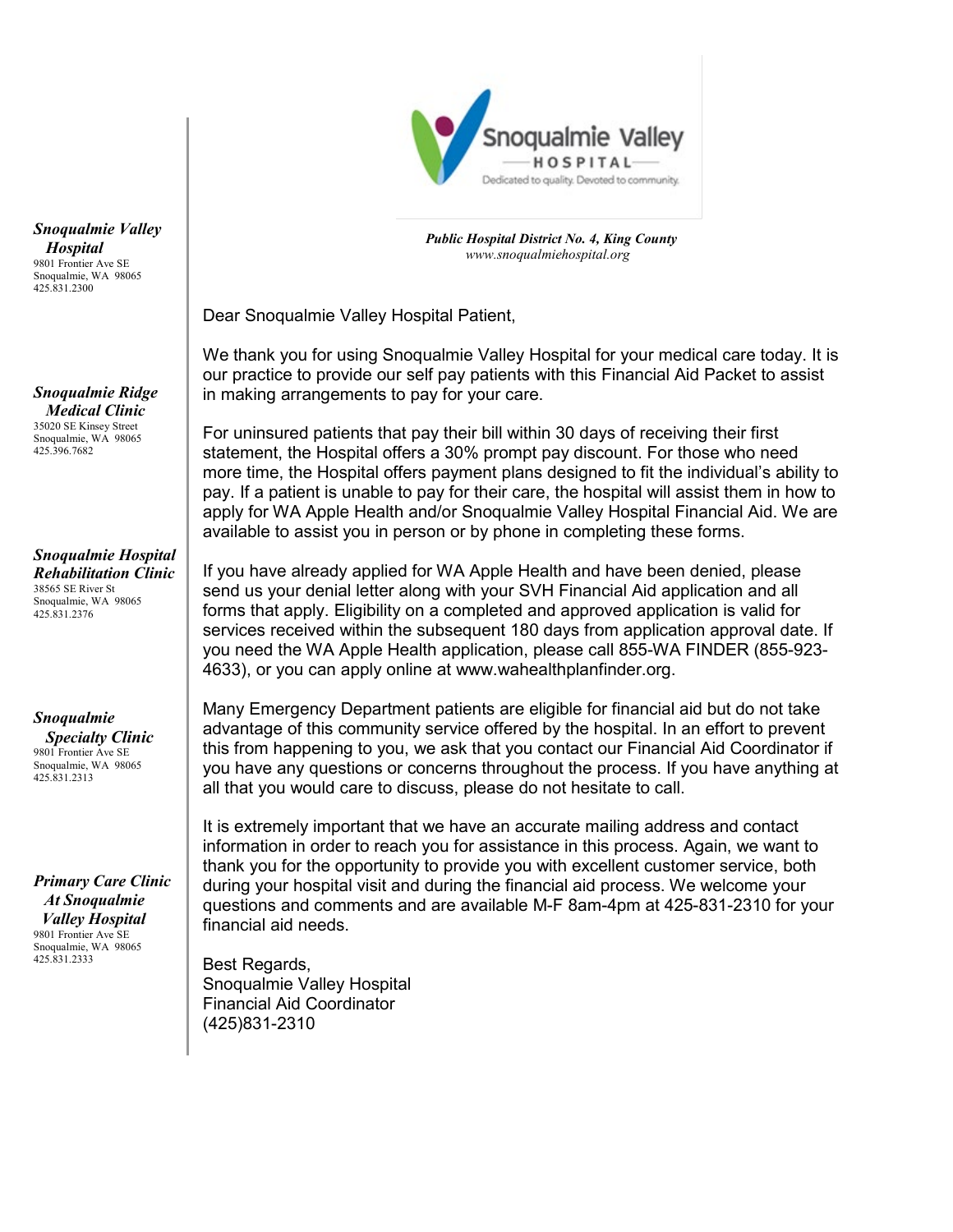

 *Public Hospital District No. 4, King County [www.snoqualmiehospital.org](http://www.snoqualmiehospital.org/)*

Dear Snoqualmie Valley Hospital Patient,

We thank you for using Snoqualmie Valley Hospital for your medical care today. It is our practice to provide our self pay patients with this Financial Aid Packet to assist in making arrangements to pay for your care.

For uninsured patients that pay their bill within 30 days of receiving their first statement, the Hospital offers a 30% prompt pay discount. For those who need more time, the Hospital offers payment plans designed to fit the individual's ability to pay. If a patient is unable to pay for their care, the hospital will assist them in how to apply for WA Apple Health and/or Snoqualmie Valley Hospital Financial Aid. We are available to assist you in person or by phone in completing these forms.

If you have already applied for WA Apple Health and have been denied, please send us your denial letter along with your SVH Financial Aid application and all forms that apply. Eligibility on a completed and approved application is valid for services received within the subsequent 180 days from application approval date. If you need the WA Apple Health application, please call 855-WA FINDER (855-923- 4633), or you can apply online at www.wahealthplanfinder.org.

Many Emergency Department patients are eligible for financial aid but do not take advantage of this community service offered by the hospital. In an effort to prevent this from happening to you, we ask that you contact our Financial Aid Coordinator if you have any questions or concerns throughout the process. If you have anything at all that you would care to discuss, please do not hesitate to call.

It is extremely important that we have an accurate mailing address and contact information in order to reach you for assistance in this process. Again, we want to thank you for the opportunity to provide you with excellent customer service, both during your hospital visit and during the financial aid process. We welcome your questions and comments and are available M-F 8am-4pm at 425-831-2310 for your financial aid needs.

Best Regards, Snoqualmie Valley Hospital Financial Aid Coordinator (425)831-2310

*Snoqualmie Valley Hospital* 9801 Frontier Ave SE Snoqualmie, WA 98065 425.831.2300

*Snoqualmie Ridge Medical Clinic* 35020 SE Kinsey Street Snoqualmie, WA 98065 425.396.7682

*Snoqualmie Hospital Rehabilitation Clinic* 38565 SE River St Snoqualmie, WA 98065 425.831.2376

*Snoqualmie* 

 *Specialty Clinic* 9801 Frontier Ave SE Snoqualmie, WA 98065 425.831.2313

*Primary Care Clinic At Snoqualmie Valley Hospital* 9801 Frontier Ave SE Snoqualmie, WA 98065 425.831.2333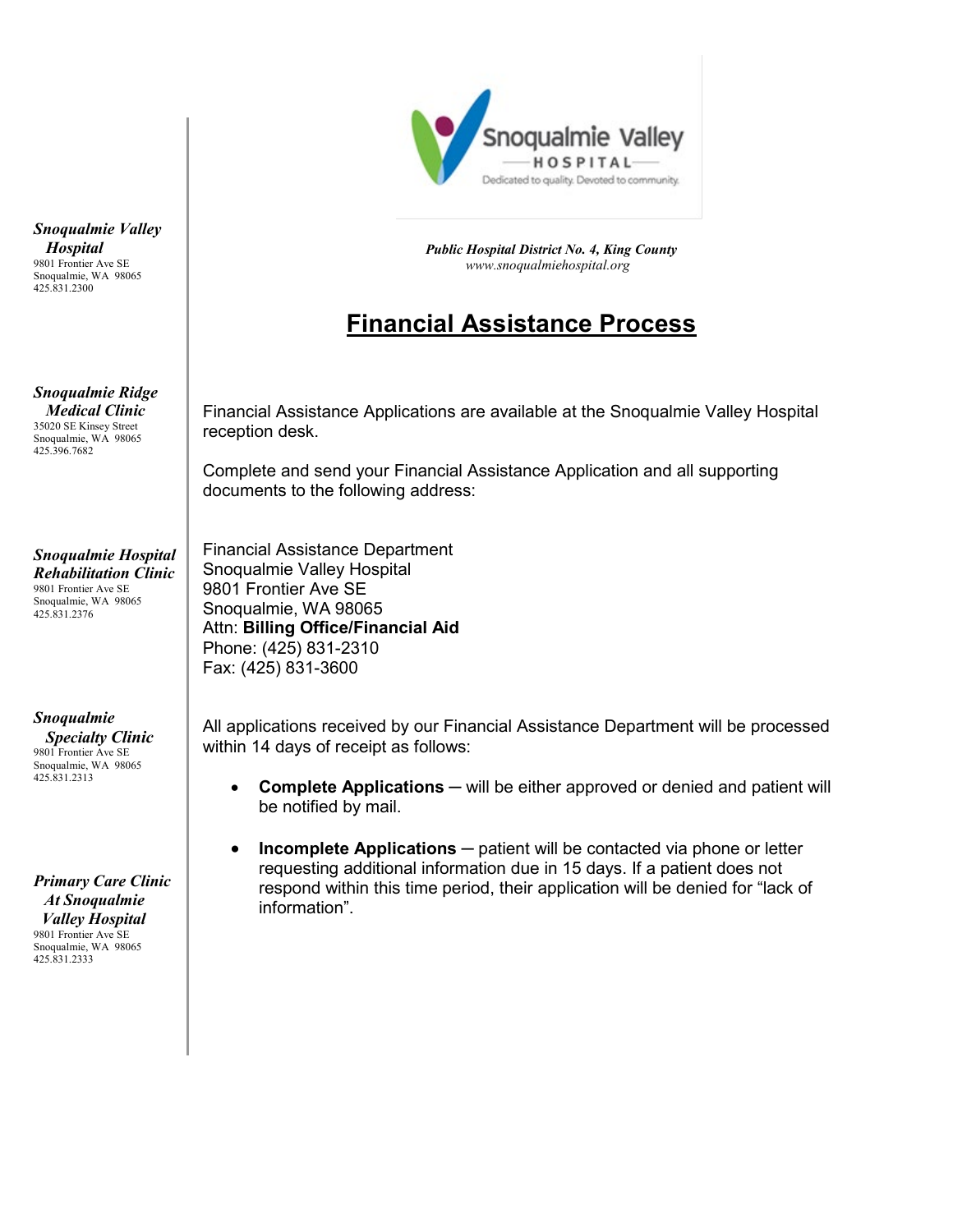

 *Public Hospital District No. 4, King County [www.snoqualmiehospital.org](http://www.snoqualmiehospital.org/)*

# **Financial Assistance Process**

Financial Assistance Applications are available at the Snoqualmie Valley Hospital reception desk.

Complete and send your Financial Assistance Application and all supporting documents to the following address:

Financial Assistance Department Snoqualmie Valley Hospital 9801 Frontier Ave SE Snoqualmie, WA 98065 Attn: **Billing Office/Financial Aid** Phone: (425) 831-2310 Fax: (425) 831-3600

All applications received by our Financial Assistance Department will be processed within 14 days of receipt as follows:

- **Complete Applications** ─ will be either approved or denied and patient will be notified by mail.
- **Incomplete Applications** ─ patient will be contacted via phone or letter requesting additional information due in 15 days. If a patient does not respond within this time period, their application will be denied for "lack of information".

*Snoqualmie Valley Hospital* 9801 Frontier Ave SE Snoqualmie, WA 98065 425.831.2300

*Snoqualmie Ridge Medical Clinic* 35020 SE Kinsey Street Snoqualmie, WA 98065 425.396.7682

*Snoqualmie Hospital Rehabilitation Clinic* 9801 Frontier Ave SE Snoqualmie, WA 98065 425.831.2376

*Snoqualmie* 

 *Specialty Clinic* 9801 Frontier Ave SE Snoqualmie, WA 98065 425.831.2313

*Primary Care Clinic At Snoqualmie Valley Hospital* 9801 Frontier Ave SE Snoqualmie, WA 98065 425.831.2333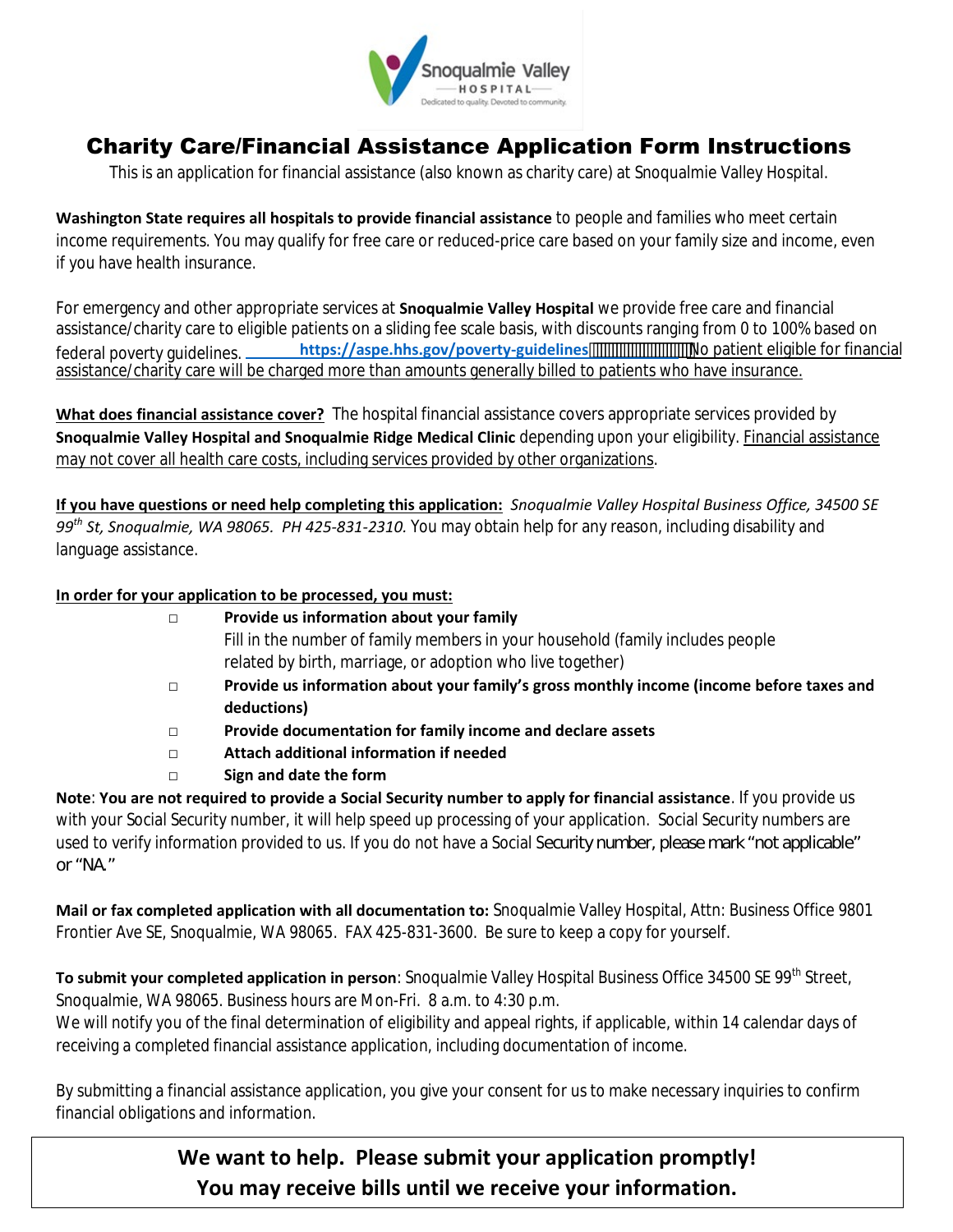

# Charity Care/Financial Assistance Application Form Instructions

This is an application for financial assistance (also known as charity care) at Snoqualmie Valley Hospital.

**Washington State requires all hospitals to provide financial assistance** to people and families who meet certain income requirements. You may qualify for free care or reduced-price care based on your family size and income, even if you have health insurance.

For emergency and other appropriate services at **Snoqualmie Valley Hospital** we provide free care and financial assistance/charity care to [eligible patients on a sliding fee scale basis, with discounts rangi](https://aspe.hhs.gov/computations-2016-poverty-guidelines)ng from 0 to 100% based on federal poverty guidelines. *https://aspe.hhs.gov/poverty-guidelines* with the patient eligible for financial assistance/charity care will be charged more than amounts generally billed to patients who have insurance.

**What does financial assistance cover?** The hospital financial assistance covers appropriate services provided by **Snoqualmie Valley Hospital and Snoqualmie Ridge Medical Clinic** depending upon your eligibility. Financial assistance may not cover all health care costs, including services provided by other organizations.

**If you have questions or need help completing this application:** *Snoqualmie Valley Hospital Business Office, 34500 SE 99th St, Snoqualmie, WA 98065. PH 425-831-2310.* You may obtain help for any reason, including disability and language assistance.

#### **In order for your application to be processed, you must:**

| $\Box$ | Provide us information about your family                                                 |
|--------|------------------------------------------------------------------------------------------|
|        | Fill in the number of family members in your household (family includes people           |
|        | related by birth, marriage, or adoption who live together)                               |
| $\Box$ | Provide us information about your family's gross monthly income (income before taxes and |
|        | deductions)                                                                              |
| $\Box$ | Provide documentation for family income and declare assets                               |
| $\Box$ | Attach additional information if needed                                                  |
|        | Sign and date the form                                                                   |

**Note**: **You are not required to provide a Social Security number to apply for financial assistance**. If you provide us with your Social Security number, it will help speed up processing of your application. Social Security numbers are used to verify information provided to us. If you do not have a Social Security number, please mark "not applicable" or "NA."

**Mail or fax completed application with all documentation to:** Snoqualmie Valley Hospital, Attn: Business Office 9801 Frontier Ave SE, Snoqualmie, WA 98065. FAX 425-831-3600. Be sure to keep a copy for yourself.

To submit your completed application in person: Snoqualmie Valley Hospital Business Office 34500 SE 99<sup>th</sup> Street, Snoqualmie, WA 98065. Business hours are Mon-Fri. 8 a.m. to 4:30 p.m.

We will notify you of the final determination of eligibility and appeal rights, if applicable, within 14 calendar days of receiving a completed financial assistance application, including documentation of income.

By submitting a financial assistance application, you give your consent for us to make necessary inquiries to confirm financial obligations and information.

> **We want to help. Please submit your application promptly! You may receive bills until we receive your information.**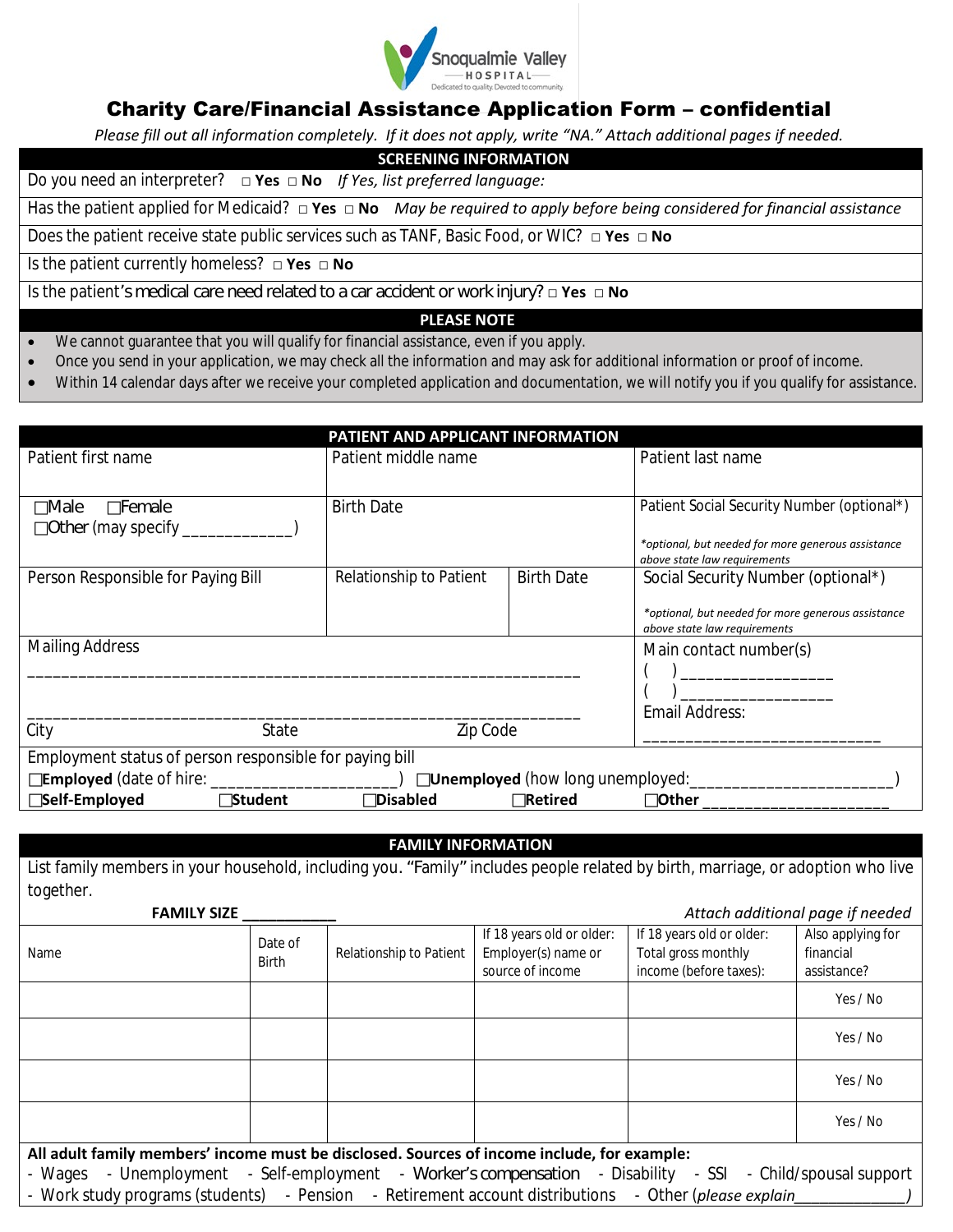

## Charity Care/Financial Assistance Application Form – confidential

*Please fill out all information completely. If it does not apply, write "NA." Attach additional pages if needed.* 

**SCREENING INFORMATION**

Do you need an interpreter? **□ Yes □ No** *If Yes, list preferred language:*

Has the patient applied for Medicaid? **□ Yes □ No** *May be required to apply before being considered for financial assistance*

Does the patient receive state public services such as TANF, Basic Food, or WIC? **□ Yes □ No**

Is the patient currently homeless? **□ Yes □ No**

Is the patient's medical care need related to a car accident or work injury? **□ Yes □ No**

#### **PLEASE NOTE**

- We cannot guarantee that you will qualify for financial assistance, even if you apply.
- Once you send in your application, we may check all the information and may ask for additional information or proof of income.
- Within 14 calendar days after we receive your completed application and documentation, we will notify you if you qualify for assistance.

| PATIENT AND APPLICANT INFORMATION                       |                         |                   |                                                                                    |  |  |
|---------------------------------------------------------|-------------------------|-------------------|------------------------------------------------------------------------------------|--|--|
| Patient first name                                      | Patient middle name     |                   | Patient last name                                                                  |  |  |
|                                                         |                         |                   |                                                                                    |  |  |
| Female<br>Male                                          | <b>Birth Date</b>       |                   | Patient Social Security Number (optional*)                                         |  |  |
| Other (may specify __________                           |                         |                   |                                                                                    |  |  |
|                                                         |                         |                   | *optional, but needed for more generous assistance<br>above state law requirements |  |  |
| Person Responsible for Paying Bill                      | Relationship to Patient | <b>Birth Date</b> | Social Security Number (optional*)                                                 |  |  |
|                                                         |                         |                   | *optional, but needed for more generous assistance                                 |  |  |
|                                                         |                         |                   | above state law requirements                                                       |  |  |
| <b>Mailing Address</b>                                  |                         |                   | Main contact number(s)                                                             |  |  |
|                                                         |                         |                   |                                                                                    |  |  |
|                                                         |                         |                   |                                                                                    |  |  |
|                                                         |                         |                   | Email Address:                                                                     |  |  |
| City<br>State                                           | Zip Code                |                   |                                                                                    |  |  |
| Employment status of person responsible for paying bill |                         |                   |                                                                                    |  |  |
|                                                         |                         |                   | <b>Unemployed</b> (how long unemployed: __________                                 |  |  |
| Self-Employed<br><b>Student</b>                         | <b>Disabled</b>         | <b>Retired</b>    | Other                                                                              |  |  |

#### **FAMILY INFORMATION**

List family members in your household, including you. "Family" includes people related by birth, marriage, or adoption who live together.

| <b>FAMILY SIZE</b>                                                                                                                                                                                                                                                |          |  |  |  | Attach additional page if needed |  |  |  |
|-------------------------------------------------------------------------------------------------------------------------------------------------------------------------------------------------------------------------------------------------------------------|----------|--|--|--|----------------------------------|--|--|--|
| If 18 years old or older:<br>If 18 years old or older:<br>Also applying for<br>Date of<br>Employer(s) name or<br>Total gross monthly<br>Relationship to Patient<br>financial<br>Name<br><b>Birth</b><br>income (before taxes):<br>source of income<br>assistance? |          |  |  |  |                                  |  |  |  |
| Yes / No                                                                                                                                                                                                                                                          |          |  |  |  |                                  |  |  |  |
| Yes / No                                                                                                                                                                                                                                                          |          |  |  |  |                                  |  |  |  |
|                                                                                                                                                                                                                                                                   | Yes / No |  |  |  |                                  |  |  |  |
| Yes / No                                                                                                                                                                                                                                                          |          |  |  |  |                                  |  |  |  |
| All adult family members' income must be disclosed. Sources of income include, for example:                                                                                                                                                                       |          |  |  |  |                                  |  |  |  |
| - Wages - Unemployment - Self-employment - Worker's compensation - Disability - SSI - Child/spousal support                                                                                                                                                       |          |  |  |  |                                  |  |  |  |
| - Work study programs (students) - Pension - Retirement account distributions - Other (please explain                                                                                                                                                             |          |  |  |  |                                  |  |  |  |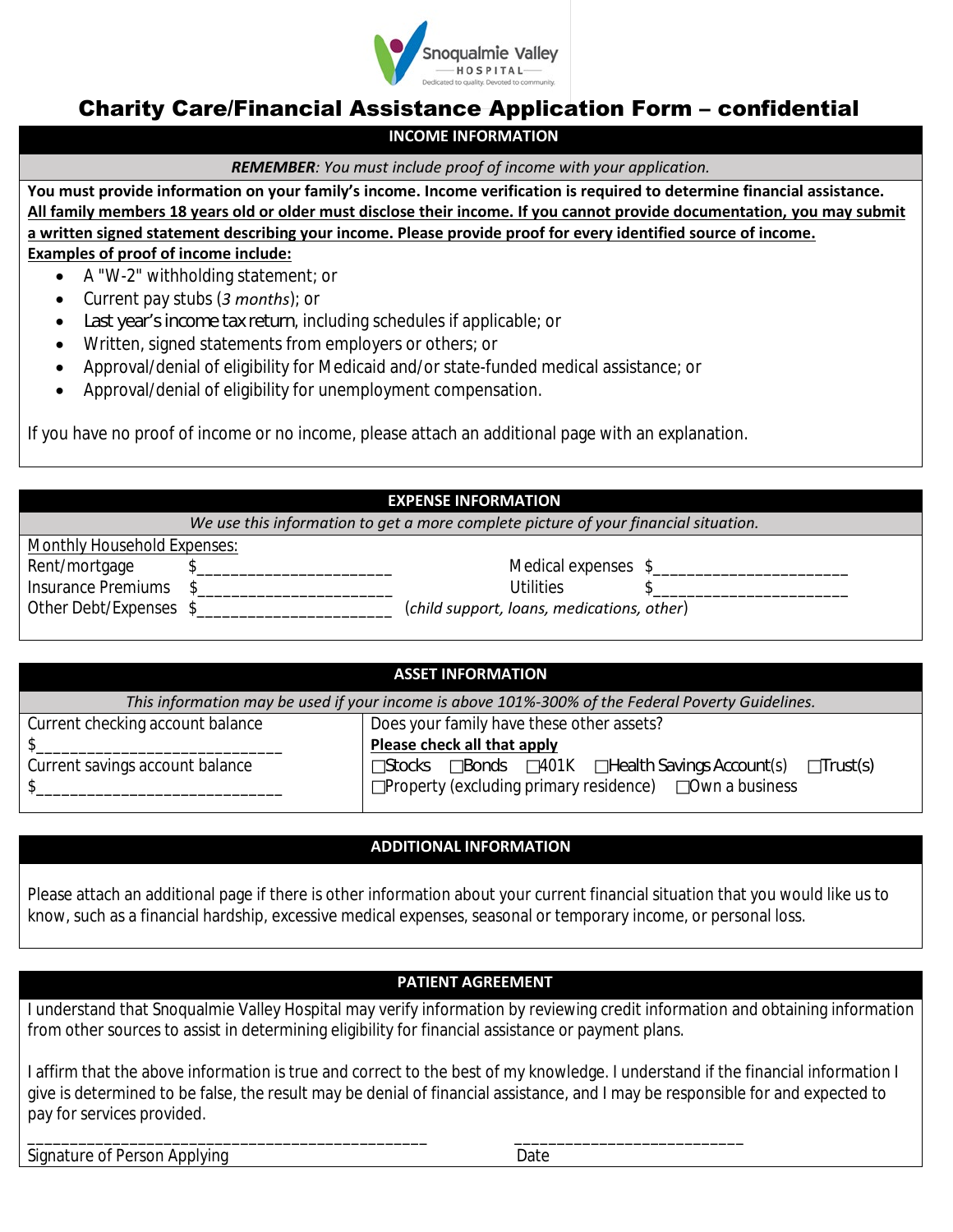

## Charity Care/Financial Assistance Application Form – confidential

### **INCOME INFORMATION**

*REMEMBER: You must include proof of income with your application.*

**You must provide information on your family's income. Income verification is required to determine financial assistance. All family members 18 years old or older must disclose their income. If you cannot provide documentation, you may submit a written signed statement describing your income. Please provide proof for every identified source of income. Examples of proof of income include:**

- A "W-2" withholding statement; or
- Current pay stubs (*3 months*); or
- Last year's income tax return, including schedules if applicable; or
- Written, signed statements from employers or others; or
- Approval/denial of eligibility for Medicaid and/or state-funded medical assistance; or
- Approval/denial of eligibility for unemployment compensation.

If you have no proof of income or no income, please attach an additional page with an explanation.

#### **EXPENSE INFORMATION**

*We use this information to get a more complete picture of your financial situation.*

| Monthly Household Expenses: |                                            |  |
|-----------------------------|--------------------------------------------|--|
| Rent/mortgage               | Medical expenses \$                        |  |
| Insurance Premiums          | Utilities                                  |  |
| Other Debt/Expenses \$      | (child support, loans, medications, other) |  |

|  |  |  |  |  | (child support, loans, medications, other |  |
|--|--|--|--|--|-------------------------------------------|--|
|--|--|--|--|--|-------------------------------------------|--|

| <b>ASSET INFORMATION</b>                                                                          |                                                          |            |  |                           |          |  |
|---------------------------------------------------------------------------------------------------|----------------------------------------------------------|------------|--|---------------------------|----------|--|
| This information may be used if your income is above 101%-300% of the Federal Poverty Guidelines. |                                                          |            |  |                           |          |  |
| Current checking account balance<br>Does your family have these other assets?                     |                                                          |            |  |                           |          |  |
|                                                                                                   | Please check all that apply                              |            |  |                           |          |  |
| Current savings account balance                                                                   | Stocks                                                   | Bonds 401K |  | Health Savings Account(s) | Trust(s) |  |
|                                                                                                   | Property (excluding primary residence)<br>Own a business |            |  |                           |          |  |
|                                                                                                   |                                                          |            |  |                           |          |  |

#### **ADDITIONAL INFORMATION**

Please attach an additional page if there is other information about your current financial situation that you would like us to know, such as a financial hardship, excessive medical expenses, seasonal or temporary income, or personal loss.

#### **PATIENT AGREEMENT**

I understand that Snoqualmie Valley Hospital may verify information by reviewing credit information and obtaining information from other sources to assist in determining eligibility for financial assistance or payment plans.

I affirm that the above information is true and correct to the best of my knowledge. I understand if the financial information I give is determined to be false, the result may be denial of financial assistance, and I may be responsible for and expected to pay for services provided.

\_\_\_\_\_\_\_\_\_\_\_\_\_\_\_\_\_\_\_\_\_\_\_\_\_\_\_\_\_\_\_\_\_\_\_\_\_\_\_\_\_\_\_\_\_\_\_ \_\_\_\_\_\_\_\_\_\_\_\_\_\_\_\_\_\_\_\_\_\_\_\_\_\_\_

Signature of Person Applying Date Date